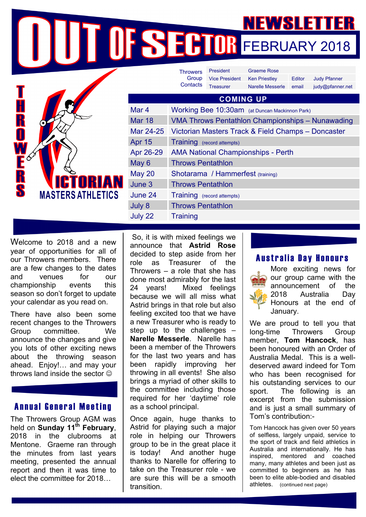FEBRUARY 2018

|                                                                                                   |                  | <b>Throwers</b>                                    | <b>President</b>      | <b>Graeme Rose</b>   |        |                     |
|---------------------------------------------------------------------------------------------------|------------------|----------------------------------------------------|-----------------------|----------------------|--------|---------------------|
|                                                                                                   |                  | Group<br>Contacts                                  | <b>Vice President</b> | <b>Ken Priestley</b> | Editor | <b>Judy Pfanner</b> |
| r<br>R<br>O<br>$\bar{\mathbf{E}}^{\phi}$<br>R<br>S<br><b>ICTORIAN</b><br><b>MASTERS ATHLETICS</b> |                  |                                                    | <b>Treasurer</b>      | Narelle Messerle     | email  | judy@pfanner.net    |
|                                                                                                   | <b>COMING UP</b> |                                                    |                       |                      |        |                     |
|                                                                                                   | Mar 4            | Working Bee 10:30am (at Duncan Mackinnon Park)     |                       |                      |        |                     |
|                                                                                                   | <b>Mar 18</b>    | VMA Throws Pentathlon Championships - Nunawading   |                       |                      |        |                     |
|                                                                                                   | Mar 24-25        | Victorian Masters Track & Field Champs - Doncaster |                       |                      |        |                     |
|                                                                                                   | <b>Apr 15</b>    | Training (record attempts)                         |                       |                      |        |                     |
|                                                                                                   | Apr 26-29        | <b>AMA National Championships - Perth</b>          |                       |                      |        |                     |
|                                                                                                   | May $6$          | <b>Throws Pentathlon</b>                           |                       |                      |        |                     |
|                                                                                                   | <b>May 20</b>    | Shotarama / Hammerfest (training)                  |                       |                      |        |                     |
|                                                                                                   | June 3           | <b>Throws Pentathlon</b>                           |                       |                      |        |                     |
|                                                                                                   | June 24          | Training (record attempts)                         |                       |                      |        |                     |
|                                                                                                   | July 8           | <b>Throws Pentathlon</b>                           |                       |                      |        |                     |
|                                                                                                   | July 22          | <b>Training</b>                                    |                       |                      |        |                     |

Welcome to 2018 and a new year of opportunities for all of our Throwers members. There are a few changes to the dates and venues for our championship events this season so don't forget to update your calendar as you read on.

There have also been some recent changes to the Throwers Group committee. We announce the changes and give you lots of other exciting news about the throwing season ahead. Enjoy!… and may your throws land inside the sector  $\odot$ 

#### Annual General Meeting

The Throwers Group AGM was held on **Sunday 11th February**, 2018 in the clubrooms at Mentone. Graeme ran through the minutes from last years meeting, presented the annual report and then it was time to elect the committee for 2018…

 So, it is with mixed feelings we announce that **Astrid Rose** decided to step aside from her role as Treasurer of the Throwers – a role that she has done most admirably for the last 24 years! Mixed feelings because we will all miss what Astrid brings in that role but also feeling excited too that we have a new Treasurer who is ready to step up to the challenges – **Narelle Messerle**. Narelle has been a member of the Throwers for the last two years and has been rapidly improving her throwing in all events! She also brings a myriad of other skills to the committee including those required for her 'daytime' role as a school principal.

Once again, huge thanks to Astrid for playing such a major role in helping our Throwers group to be in the great place it is today! And another huge thanks to Narelle for offering to take on the Treasurer role - we are sure this will be a smooth transition.

#### Australia Day Honours



We are proud to tell you that long-time Throwers Group member, **Tom Hancock**, has been honoured with an Order of Australia Medal. This is a welldeserved award indeed for Tom who has been recognised for his outstanding services to our sport. The following is an excerpt from the submission and is just a small summary of Tom's contribution:-

Tom Hancock has given over 50 years of selfless, largely unpaid, service to the sport of track and field athletics in Australia and internationally. He has inspired, mentored and coached many, many athletes and been just as committed to beginners as he has been to elite able-bodied and disabled athletes. (continued next page)